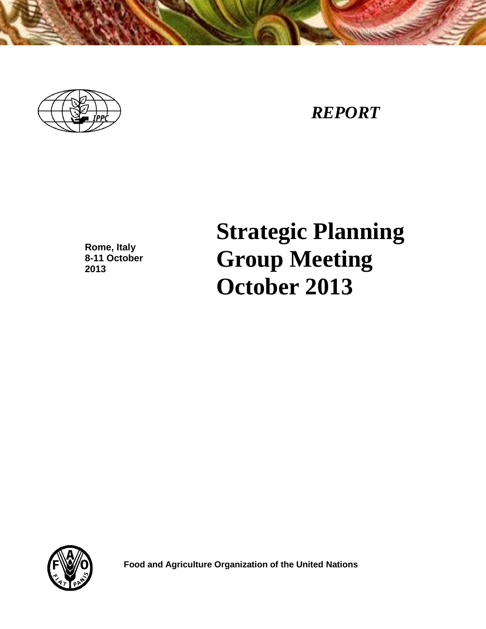

# *REPORT*

**Rome, Italy 8-11 October 2013**

**Strategic Planning Group Meeting October 2013**



 **Food and Agriculture Organization of the United Nations**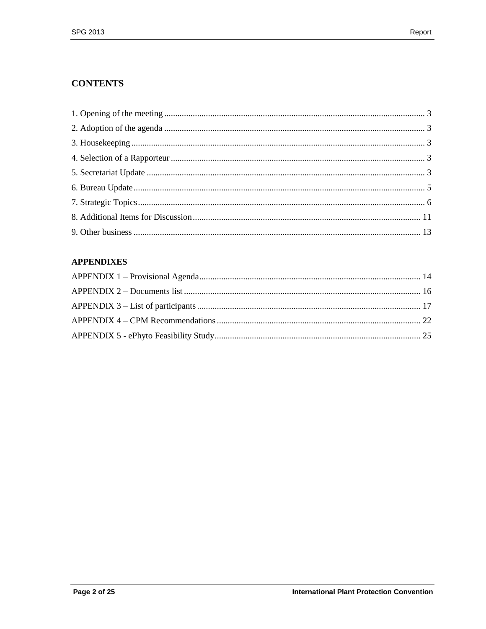# **CONTENTS**

# **APPENDIXES**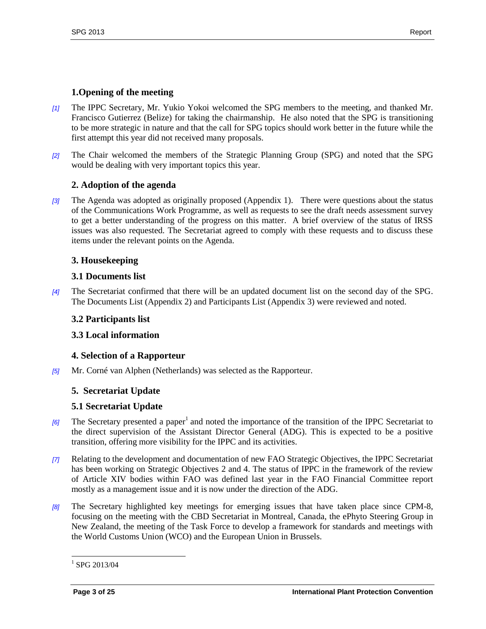# <span id="page-2-0"></span>**1.Opening of the meeting**

- *[1]* The IPPC Secretary, Mr. Yukio Yokoi welcomed the SPG members to the meeting, and thanked Mr. Francisco Gutierrez (Belize) for taking the chairmanship. He also noted that the SPG is transitioning to be more strategic in nature and that the call for SPG topics should work better in the future while the first attempt this year did not received many proposals.
- *[2]* The Chair welcomed the members of the Strategic Planning Group (SPG) and noted that the SPG would be dealing with very important topics this year.

# <span id="page-2-1"></span>**2. Adoption of the agenda**

*[3]* The Agenda was adopted as originally proposed (Appendix 1). There were questions about the status of the Communications Work Programme, as well as requests to see the draft needs assessment survey to get a better understanding of the progress on this matter. A brief overview of the status of IRSS issues was also requested. The Secretariat agreed to comply with these requests and to discuss these items under the relevant points on the Agenda.

## <span id="page-2-2"></span>**3. Housekeeping**

## **3.1 Documents list**

*[4]* The Secretariat confirmed that there will be an updated document list on the second day of the SPG. The Documents List (Appendix 2) and Participants List (Appendix 3) were reviewed and noted.

## **3.2 Participants list**

# **3.3 Local information**

#### <span id="page-2-3"></span>**4. Selection of a Rapporteur**

*[5]* Mr. Corné van Alphen (Netherlands) was selected as the Rapporteur.

#### <span id="page-2-4"></span>**5. Secretariat Update**

#### **5.1 Secretariat Update**

- [6] The Secretary presented a paper<sup>1</sup> and noted the importance of the transition of the IPPC Secretariat to the direct supervision of the Assistant Director General (ADG). This is expected to be a positive transition, offering more visibility for the IPPC and its activities.
- *[7]* Relating to the development and documentation of new FAO Strategic Objectives, the IPPC Secretariat has been working on Strategic Objectives 2 and 4. The status of IPPC in the framework of the review of Article XIV bodies within FAO was defined last year in the FAO Financial Committee report mostly as a management issue and it is now under the direction of the ADG.
- *[8]* The Secretary highlighted key meetings for emerging issues that have taken place since CPM-8, focusing on the meeting with the CBD Secretariat in Montreal, Canada, the ePhyto Steering Group in New Zealand, the meeting of the Task Force to develop a framework for standards and meetings with the World Customs Union (WCO) and the European Union in Brussels.

 $^{1}$  SPG 2013/04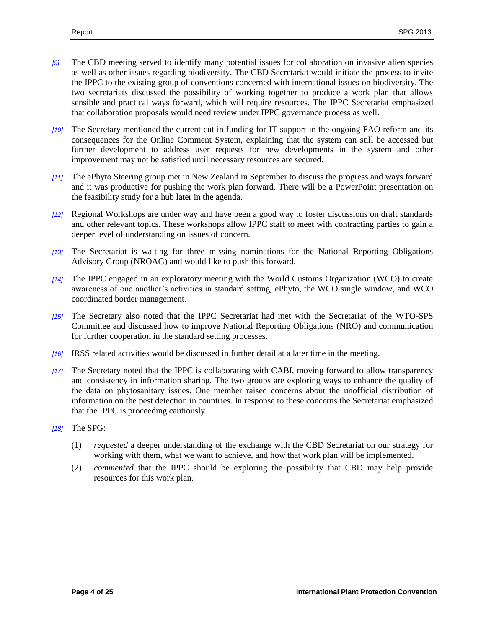- *[9]* The CBD meeting served to identify many potential issues for collaboration on invasive alien species as well as other issues regarding biodiversity. The CBD Secretariat would initiate the process to invite the IPPC to the existing group of conventions concerned with international issues on biodiversity. The two secretariats discussed the possibility of working together to produce a work plan that allows sensible and practical ways forward, which will require resources. The IPPC Secretariat emphasized that collaboration proposals would need review under IPPC governance process as well.
- *[10]* The Secretary mentioned the current cut in funding for IT-support in the ongoing FAO reform and its consequences for the Online Comment System, explaining that the system can still be accessed but further development to address user requests for new developments in the system and other improvement may not be satisfied until necessary resources are secured.
- *[11]* The ePhyto Steering group met in New Zealand in September to discuss the progress and ways forward and it was productive for pushing the work plan forward. There will be a PowerPoint presentation on the feasibility study for a hub later in the agenda.
- *[12]* Regional Workshops are under way and have been a good way to foster discussions on draft standards and other relevant topics. These workshops allow IPPC staff to meet with contracting parties to gain a deeper level of understanding on issues of concern.
- *[13]* The Secretariat is waiting for three missing nominations for the National Reporting Obligations Advisory Group (NROAG) and would like to push this forward.
- *[14]* The IPPC engaged in an exploratory meeting with the World Customs Organization (WCO) to create awareness of one another's activities in standard setting, ePhyto, the WCO single window, and WCO coordinated border management.
- *[15]* The Secretary also noted that the IPPC Secretariat had met with the Secretariat of the WTO-SPS Committee and discussed how to improve National Reporting Obligations (NRO) and communication for further cooperation in the standard setting processes.
- *[16]* IRSS related activities would be discussed in further detail at a later time in the meeting.
- *[17]* The Secretary noted that the IPPC is collaborating with CABI, moving forward to allow transparency and consistency in information sharing. The two groups are exploring ways to enhance the quality of the data on phytosanitary issues. One member raised concerns about the unofficial distribution of information on the pest detection in countries. In response to these concerns the Secretariat emphasized that the IPPC is proceeding cautiously.
- *[18]* The SPG:
	- (1) *requested* a deeper understanding of the exchange with the CBD Secretariat on our strategy for working with them, what we want to achieve, and how that work plan will be implemented.
	- (2) *commented* that the IPPC should be exploring the possibility that CBD may help provide resources for this work plan.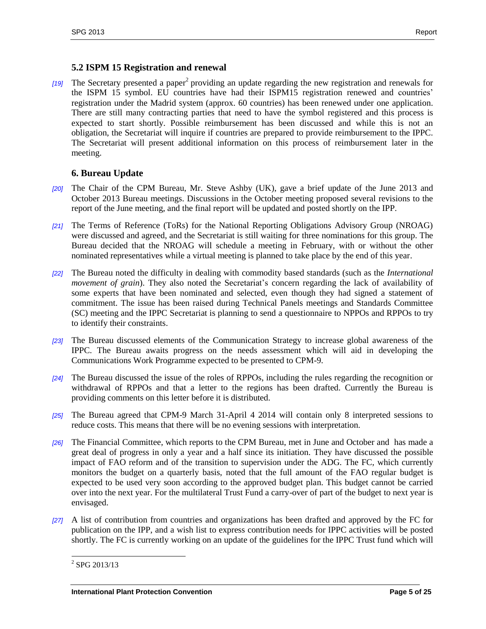## **5.2 ISPM 15 Registration and renewal**

[19] The Secretary presented a paper<sup>2</sup> providing an update regarding the new registration and renewals for the ISPM 15 symbol. EU countries have had their ISPM15 registration renewed and countries' registration under the Madrid system (approx. 60 countries) has been renewed under one application. There are still many contracting parties that need to have the symbol registered and this process is expected to start shortly. Possible reimbursement has been discussed and while this is not an obligation, the Secretariat will inquire if countries are prepared to provide reimbursement to the IPPC. The Secretariat will present additional information on this process of reimbursement later in the meeting.

## <span id="page-4-0"></span>**6. Bureau Update**

- *[20]* The Chair of the CPM Bureau, Mr. Steve Ashby (UK), gave a brief update of the June 2013 and October 2013 Bureau meetings. Discussions in the October meeting proposed several revisions to the report of the June meeting, and the final report will be updated and posted shortly on the IPP.
- *[21]* The Terms of Reference (ToRs) for the National Reporting Obligations Advisory Group (NROAG) were discussed and agreed, and the Secretariat is still waiting for three nominations for this group. The Bureau decided that the NROAG will schedule a meeting in February, with or without the other nominated representatives while a virtual meeting is planned to take place by the end of this year.
- *[22]* The Bureau noted the difficulty in dealing with commodity based standards (such as the *International movement of grain*). They also noted the Secretariat's concern regarding the lack of availability of some experts that have been nominated and selected, even though they had signed a statement of commitment. The issue has been raised during Technical Panels meetings and Standards Committee (SC) meeting and the IPPC Secretariat is planning to send a questionnaire to NPPOs and RPPOs to try to identify their constraints.
- *[23]* The Bureau discussed elements of the Communication Strategy to increase global awareness of the IPPC. The Bureau awaits progress on the needs assessment which will aid in developing the Communications Work Programme expected to be presented to CPM-9.
- *[24]* The Bureau discussed the issue of the roles of RPPOs, including the rules regarding the recognition or withdrawal of RPPOs and that a letter to the regions has been drafted. Currently the Bureau is providing comments on this letter before it is distributed.
- *[25]* The Bureau agreed that CPM-9 March 31-April 4 2014 will contain only 8 interpreted sessions to reduce costs. This means that there will be no evening sessions with interpretation.
- *[26]* The Financial Committee, which reports to the CPM Bureau, met in June and October and has made a great deal of progress in only a year and a half since its initiation. They have discussed the possible impact of FAO reform and of the transition to supervision under the ADG. The FC, which currently monitors the budget on a quarterly basis, noted that the full amount of the FAO regular budget is expected to be used very soon according to the approved budget plan. This budget cannot be carried over into the next year. For the multilateral Trust Fund a carry-over of part of the budget to next year is envisaged.
- *[27]* A list of contribution from countries and organizations has been drafted and approved by the FC for publication on the IPP, and a wish list to express contribution needs for IPPC activities will be posted shortly. The FC is currently working on an update of the guidelines for the IPPC Trust fund which will

<sup>&</sup>lt;sup>2</sup> SPG 2013/13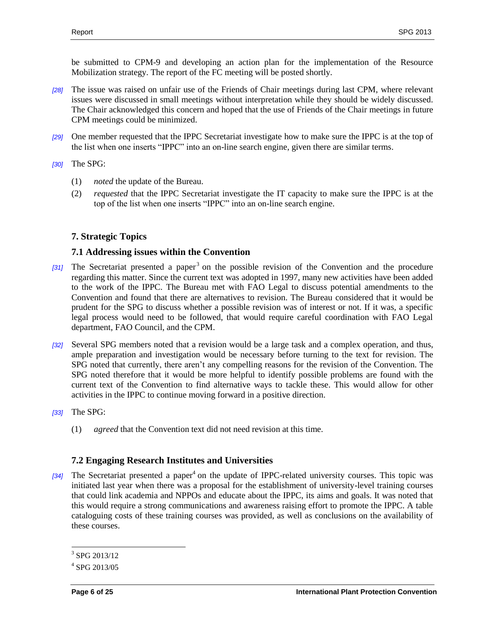be submitted to CPM-9 and developing an action plan for the implementation of the Resource Mobilization strategy. The report of the FC meeting will be posted shortly.

- *[28]* The issue was raised on unfair use of the Friends of Chair meetings during last CPM, where relevant issues were discussed in small meetings without interpretation while they should be widely discussed. The Chair acknowledged this concern and hoped that the use of Friends of the Chair meetings in future CPM meetings could be minimized.
- *[29]* One member requested that the IPPC Secretariat investigate how to make sure the IPPC is at the top of the list when one inserts "IPPC" into an on-line search engine, given there are similar terms.
- *[30]* The SPG:
	- (1) *noted* the update of the Bureau.
	- (2) *requested* that the IPPC Secretariat investigate the IT capacity to make sure the IPPC is at the top of the list when one inserts "IPPC" into an on-line search engine.

#### <span id="page-5-0"></span>**7. Strategic Topics**

#### **7.1 Addressing issues within the Convention**

- [31] The Secretariat presented a paper<sup>3</sup> on the possible revision of the Convention and the procedure regarding this matter. Since the current text was adopted in 1997, many new activities have been added to the work of the IPPC. The Bureau met with FAO Legal to discuss potential amendments to the Convention and found that there are alternatives to revision. The Bureau considered that it would be prudent for the SPG to discuss whether a possible revision was of interest or not. If it was, a specific legal process would need to be followed, that would require careful coordination with FAO Legal department, FAO Council, and the CPM.
- *[32]* Several SPG members noted that a revision would be a large task and a complex operation, and thus, ample preparation and investigation would be necessary before turning to the text for revision. The SPG noted that currently, there aren't any compelling reasons for the revision of the Convention. The SPG noted therefore that it would be more helpful to identify possible problems are found with the current text of the Convention to find alternative ways to tackle these. This would allow for other activities in the IPPC to continue moving forward in a positive direction.
- *[33]* The SPG:
	- (1) *agreed* that the Convention text did not need revision at this time.

# **7.2 Engaging Research Institutes and Universities**

[34] The Secretariat presented a paper<sup>4</sup> on the update of IPPC-related university courses. This topic was initiated last year when there was a proposal for the establishment of university-level training courses that could link academia and NPPOs and educate about the IPPC, its aims and goals. It was noted that this would require a strong communications and awareness raising effort to promote the IPPC. A table cataloguing costs of these training courses was provided, as well as conclusions on the availability of these courses.

<sup>&</sup>lt;sup>3</sup> SPG 2013/12

<sup>4</sup> SPG 2013/05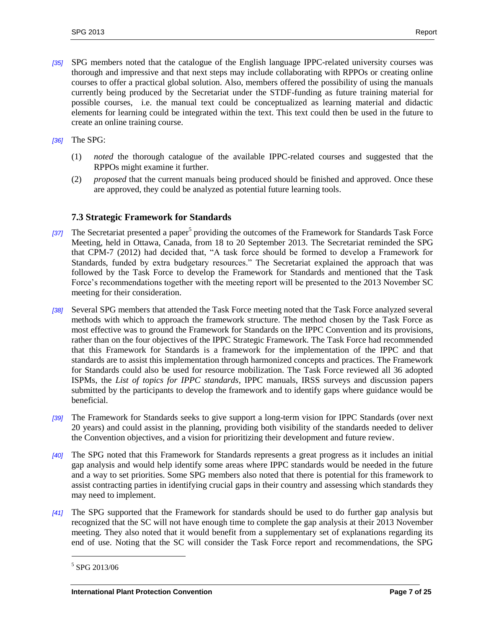*[35]* SPG members noted that the catalogue of the English language IPPC-related university courses was thorough and impressive and that next steps may include collaborating with RPPOs or creating online courses to offer a practical global solution. Also, members offered the possibility of using the manuals currently being produced by the Secretariat under the STDF-funding as future training material for possible courses, i.e. the manual text could be conceptualized as learning material and didactic elements for learning could be integrated within the text. This text could then be used in the future to create an online training course.

*[36]* The SPG:

- (1) *noted* the thorough catalogue of the available IPPC-related courses and suggested that the RPPOs might examine it further.
- (2) *proposed* that the current manuals being produced should be finished and approved. Once these are approved, they could be analyzed as potential future learning tools.

#### **7.3 Strategic Framework for Standards**

- [37] The Secretariat presented a paper<sup>5</sup> providing the outcomes of the Framework for Standards Task Force Meeting, held in Ottawa, Canada, from 18 to 20 September 2013. The Secretariat reminded the SPG that CPM-7 (2012) had decided that, "A task force should be formed to develop a Framework for Standards, funded by extra budgetary resources." The Secretariat explained the approach that was followed by the Task Force to develop the Framework for Standards and mentioned that the Task Force's recommendations together with the meeting report will be presented to the 2013 November SC meeting for their consideration.
- *[38]* Several SPG members that attended the Task Force meeting noted that the Task Force analyzed several methods with which to approach the framework structure. The method chosen by the Task Force as most effective was to ground the Framework for Standards on the IPPC Convention and its provisions, rather than on the four objectives of the IPPC Strategic Framework. The Task Force had recommended that this Framework for Standards is a framework for the implementation of the IPPC and that standards are to assist this implementation through harmonized concepts and practices. The Framework for Standards could also be used for resource mobilization. The Task Force reviewed all 36 adopted ISPMs, the *List of topics for IPPC standards*, IPPC manuals, IRSS surveys and discussion papers submitted by the participants to develop the framework and to identify gaps where guidance would be beneficial.
- *[39]* The Framework for Standards seeks to give support a long-term vision for IPPC Standards (over next 20 years) and could assist in the planning, providing both visibility of the standards needed to deliver the Convention objectives, and a vision for prioritizing their development and future review.
- *[40]* The SPG noted that this Framework for Standards represents a great progress as it includes an initial gap analysis and would help identify some areas where IPPC standards would be needed in the future and a way to set priorities. Some SPG members also noted that there is potential for this framework to assist contracting parties in identifying crucial gaps in their country and assessing which standards they may need to implement.
- *[41]* The SPG supported that the Framework for standards should be used to do further gap analysis but recognized that the SC will not have enough time to complete the gap analysis at their 2013 November meeting. They also noted that it would benefit from a supplementary set of explanations regarding its end of use. Noting that the SC will consider the Task Force report and recommendations, the SPG

<sup>5</sup> SPG 2013/06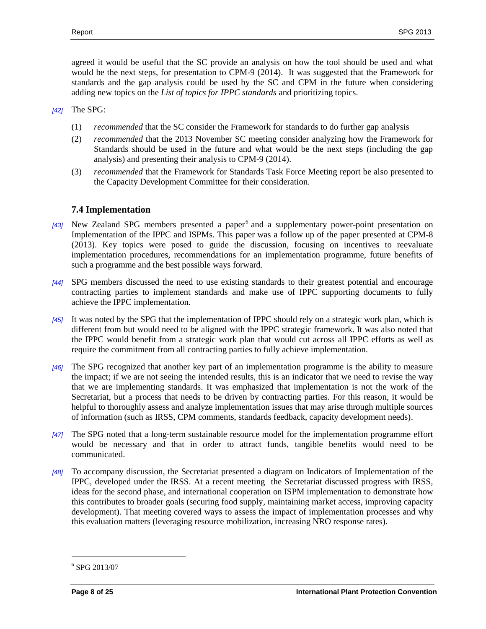agreed it would be useful that the SC provide an analysis on how the tool should be used and what would be the next steps, for presentation to CPM-9 (2014). It was suggested that the Framework for standards and the gap analysis could be used by the SC and CPM in the future when considering adding new topics on the *List of topics for IPPC standards* and prioritizing topics.

- *[42]* The SPG:
	- (1) *recommended* that the SC consider the Framework for standards to do further gap analysis
	- (2) *recommended* that the 2013 November SC meeting consider analyzing how the Framework for Standards should be used in the future and what would be the next steps (including the gap analysis) and presenting their analysis to CPM-9 (2014).
	- (3) *recommended* that the Framework for Standards Task Force Meeting report be also presented to the Capacity Development Committee for their consideration.

#### **7.4 Implementation**

- [43] New Zealand SPG members presented a paper<sup>6</sup> and a supplementary power-point presentation on Implementation of the IPPC and ISPMs. This paper was a follow up of the paper presented at CPM-8 (2013). Key topics were posed to guide the discussion, focusing on incentives to reevaluate implementation procedures, recommendations for an implementation programme, future benefits of such a programme and the best possible ways forward.
- *[44]* SPG members discussed the need to use existing standards to their greatest potential and encourage contracting parties to implement standards and make use of IPPC supporting documents to fully achieve the IPPC implementation.
- *[45]* It was noted by the SPG that the implementation of IPPC should rely on a strategic work plan, which is different from but would need to be aligned with the IPPC strategic framework. It was also noted that the IPPC would benefit from a strategic work plan that would cut across all IPPC efforts as well as require the commitment from all contracting parties to fully achieve implementation.
- *[46]* The SPG recognized that another key part of an implementation programme is the ability to measure the impact; if we are not seeing the intended results, this is an indicator that we need to revise the way that we are implementing standards. It was emphasized that implementation is not the work of the Secretariat, but a process that needs to be driven by contracting parties. For this reason, it would be helpful to thoroughly assess and analyze implementation issues that may arise through multiple sources of information (such as IRSS, CPM comments, standards feedback, capacity development needs).
- *[47]* The SPG noted that a long-term sustainable resource model for the implementation programme effort would be necessary and that in order to attract funds, tangible benefits would need to be communicated.
- *[48]* To accompany discussion, the Secretariat presented a diagram on Indicators of Implementation of the IPPC, developed under the IRSS. At a recent meeting the Secretariat discussed progress with IRSS, ideas for the second phase, and international cooperation on ISPM implementation to demonstrate how this contributes to broader goals (securing food supply, maintaining market access, improving capacity development). That meeting covered ways to assess the impact of implementation processes and why this evaluation matters (leveraging resource mobilization, increasing NRO response rates).

<sup>6</sup> SPG 2013/07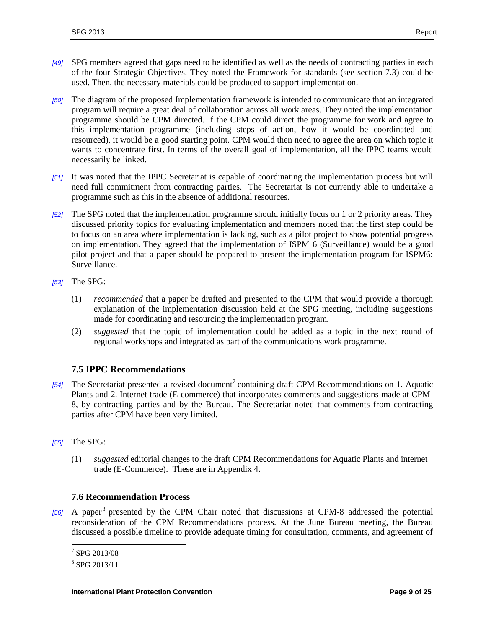- *[49]* SPG members agreed that gaps need to be identified as well as the needs of contracting parties in each of the four Strategic Objectives. They noted the Framework for standards (see section 7.3) could be used. Then, the necessary materials could be produced to support implementation.
- *[50]* The diagram of the proposed Implementation framework is intended to communicate that an integrated program will require a great deal of collaboration across all work areas. They noted the implementation programme should be CPM directed. If the CPM could direct the programme for work and agree to this implementation programme (including steps of action, how it would be coordinated and resourced), it would be a good starting point. CPM would then need to agree the area on which topic it wants to concentrate first. In terms of the overall goal of implementation, all the IPPC teams would necessarily be linked.
- *[51]* It was noted that the IPPC Secretariat is capable of coordinating the implementation process but will need full commitment from contracting parties. The Secretariat is not currently able to undertake a programme such as this in the absence of additional resources.
- *[52]* The SPG noted that the implementation programme should initially focus on 1 or 2 priority areas. They discussed priority topics for evaluating implementation and members noted that the first step could be to focus on an area where implementation is lacking, such as a pilot project to show potential progress on implementation. They agreed that the implementation of ISPM 6 (Surveillance) would be a good pilot project and that a paper should be prepared to present the implementation program for ISPM6: Surveillance.
- *[53]* The SPG:
	- (1) *recommended* that a paper be drafted and presented to the CPM that would provide a thorough explanation of the implementation discussion held at the SPG meeting, including suggestions made for coordinating and resourcing the implementation program.
	- (2) *suggested* that the topic of implementation could be added as a topic in the next round of regional workshops and integrated as part of the communications work programme.

# **7.5 IPPC Recommendations**

- [54] The Secretariat presented a revised document<sup>7</sup> containing draft CPM Recommendations on 1. Aquatic Plants and 2. Internet trade (E-commerce) that incorporates comments and suggestions made at CPM-8, by contracting parties and by the Bureau. The Secretariat noted that comments from contracting parties after CPM have been very limited.
- *[55]* The SPG:
	- (1) *suggested* editorial changes to the draft CPM Recommendations for Aquatic Plants and internet trade (E-Commerce). These are in Appendix 4.

#### **7.6 Recommendation Process**

[56] A paper<sup>8</sup> presented by the CPM Chair noted that discussions at CPM-8 addressed the potential reconsideration of the CPM Recommendations process. At the June Bureau meeting, the Bureau discussed a possible timeline to provide adequate timing for consultation, comments, and agreement of

 7 SPG 2013/08

<sup>8</sup> SPG 2013/11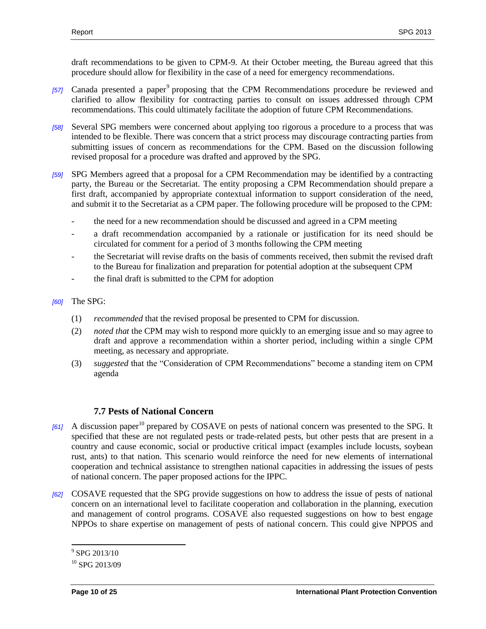draft recommendations to be given to CPM-9. At their October meeting, the Bureau agreed that this procedure should allow for flexibility in the case of a need for emergency recommendations.

- [57] Canada presented a paper<sup>9</sup> proposing that the CPM Recommendations procedure be reviewed and clarified to allow flexibility for contracting parties to consult on issues addressed through CPM recommendations. This could ultimately facilitate the adoption of future CPM Recommendations.
- *[58]* Several SPG members were concerned about applying too rigorous a procedure to a process that was intended to be flexible. There was concern that a strict process may discourage contracting parties from submitting issues of concern as recommendations for the CPM. Based on the discussion following revised proposal for a procedure was drafted and approved by the SPG.
- *[59]* SPG Members agreed that a proposal for a CPM Recommendation may be identified by a contracting party, the Bureau or the Secretariat. The entity proposing a CPM Recommendation should prepare a first draft, accompanied by appropriate contextual information to support consideration of the need, and submit it to the Secretariat as a CPM paper. The following procedure will be proposed to the CPM:
	- the need for a new recommendation should be discussed and agreed in a CPM meeting
	- a draft recommendation accompanied by a rationale or justification for its need should be circulated for comment for a period of 3 months following the CPM meeting
	- the Secretariat will revise drafts on the basis of comments received, then submit the revised draft to the Bureau for finalization and preparation for potential adoption at the subsequent CPM
	- the final draft is submitted to the CPM for adoption
- *[60]* The SPG:
	- (1) *recommended* that the revised proposal be presented to CPM for discussion*.*
	- (2) *noted that* the CPM may wish to respond more quickly to an emerging issue and so may agree to draft and approve a recommendation within a shorter period, including within a single CPM meeting, as necessary and appropriate.
	- (3) *suggested* that the "Consideration of CPM Recommendations" become a standing item on CPM agenda

#### **7.7 Pests of National Concern**

- [61] A discussion paper<sup>10</sup> prepared by COSAVE on pests of national concern was presented to the SPG. It specified that these are not regulated pests or trade-related pests, but other pests that are present in a country and cause economic, social or productive critical impact (examples include locusts, soybean rust, ants) to that nation. This scenario would reinforce the need for new elements of international cooperation and technical assistance to strengthen national capacities in addressing the issues of pests of national concern. The paper proposed actions for the IPPC.
- *[62]* COSAVE requested that the SPG provide suggestions on how to address the issue of pests of national concern on an international level to facilitate cooperation and collaboration in the planning, execution and management of control programs. COSAVE also requested suggestions on how to best engage NPPOs to share expertise on management of pests of national concern. This could give NPPOS and

<sup>&</sup>lt;sup>9</sup> SPG 2013/10

 $10^{10}$  SPG 2013/09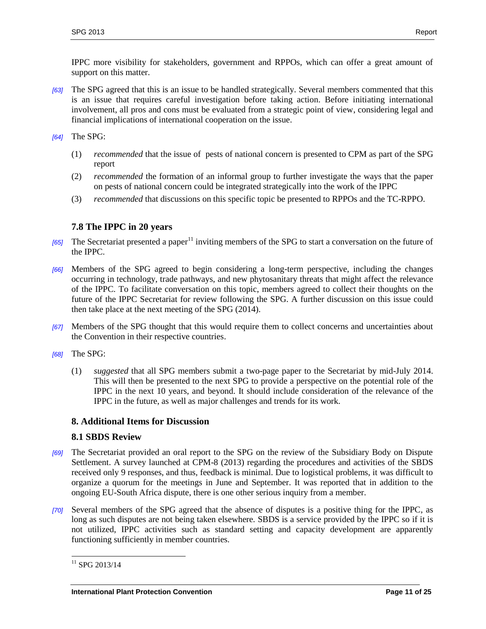IPPC more visibility for stakeholders, government and RPPOs, which can offer a great amount of support on this matter.

- *[63]* The SPG agreed that this is an issue to be handled strategically. Several members commented that this is an issue that requires careful investigation before taking action. Before initiating international involvement, all pros and cons must be evaluated from a strategic point of view, considering legal and financial implications of international cooperation on the issue.
- *[64]* The SPG:
	- (1) *recommended* that the issue of pests of national concern is presented to CPM as part of the SPG report
	- (2) *recommended* the formation of an informal group to further investigate the ways that the paper on pests of national concern could be integrated strategically into the work of the IPPC
	- (3) *recommended* that discussions on this specific topic be presented to RPPOs and the TC-RPPO.

## **7.8 The IPPC in 20 years**

- *[65]* The Secretariat presented a paper<sup>11</sup> inviting members of the SPG to start a conversation on the future of the IPPC.
- *[66]* Members of the SPG agreed to begin considering a long-term perspective, including the changes occurring in technology, trade pathways, and new phytosanitary threats that might affect the relevance of the IPPC. To facilitate conversation on this topic, members agreed to collect their thoughts on the future of the IPPC Secretariat for review following the SPG. A further discussion on this issue could then take place at the next meeting of the SPG (2014).
- *[67]* Members of the SPG thought that this would require them to collect concerns and uncertainties about the Convention in their respective countries.
- *[68]* The SPG:
	- (1) *suggested* that all SPG members submit a two-page paper to the Secretariat by mid-July 2014. This will then be presented to the next SPG to provide a perspective on the potential role of the IPPC in the next 10 years, and beyond. It should include consideration of the relevance of the IPPC in the future, as well as major challenges and trends for its work.

#### <span id="page-10-0"></span>**8. Additional Items for Discussion**

#### **8.1 SBDS Review**

- *[69]* The Secretariat provided an oral report to the SPG on the review of the Subsidiary Body on Dispute Settlement. A survey launched at CPM-8 (2013) regarding the procedures and activities of the SBDS received only 9 responses, and thus, feedback is minimal. Due to logistical problems, it was difficult to organize a quorum for the meetings in June and September. It was reported that in addition to the ongoing EU-South Africa dispute, there is one other serious inquiry from a member.
- *[70]* Several members of the SPG agreed that the absence of disputes is a positive thing for the IPPC, as long as such disputes are not being taken elsewhere*.* SBDS is a service provided by the IPPC so if it is not utilized, IPPC activities such as standard setting and capacity development are apparently functioning sufficiently in member countries.

 $11$  SPG 2013/14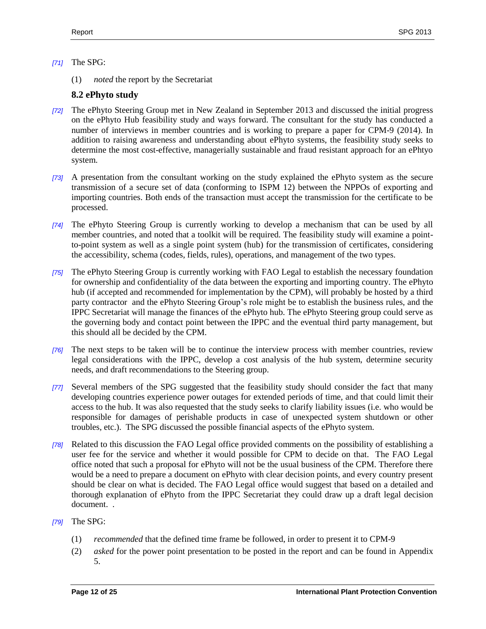#### *[71]* The SPG:

(1) *noted* the report by the Secretariat

#### **8.2 ePhyto study**

- *[72]* The ePhyto Steering Group met in New Zealand in September 2013 and discussed the initial progress on the ePhyto Hub feasibility study and ways forward. The consultant for the study has conducted a number of interviews in member countries and is working to prepare a paper for CPM-9 (2014). In addition to raising awareness and understanding about ePhyto systems, the feasibility study seeks to determine the most cost-effective, managerially sustainable and fraud resistant approach for an ePhtyo system.
- *[73]* A presentation from the consultant working on the study explained the ePhyto system as the secure transmission of a secure set of data (conforming to ISPM 12) between the NPPOs of exporting and importing countries. Both ends of the transaction must accept the transmission for the certificate to be processed.
- *[74]* The ePhyto Steering Group is currently working to develop a mechanism that can be used by all member countries, and noted that a toolkit will be required. The feasibility study will examine a pointto-point system as well as a single point system (hub) for the transmission of certificates, considering the accessibility, schema (codes, fields, rules), operations, and management of the two types.
- *[75]* The ePhyto Steering Group is currently working with FAO Legal to establish the necessary foundation for ownership and confidentiality of the data between the exporting and importing country. The ePhyto hub (if accepted and recommended for implementation by the CPM), will probably be hosted by a third party contractor and the ePhyto Steering Group's role might be to establish the business rules, and the IPPC Secretariat will manage the finances of the ePhyto hub. The ePhyto Steering group could serve as the governing body and contact point between the IPPC and the eventual third party management, but this should all be decided by the CPM.
- *[76]* The next steps to be taken will be to continue the interview process with member countries, review legal considerations with the IPPC, develop a cost analysis of the hub system, determine security needs, and draft recommendations to the Steering group.
- *[77]* Several members of the SPG suggested that the feasibility study should consider the fact that many developing countries experience power outages for extended periods of time, and that could limit their access to the hub. It was also requested that the study seeks to clarify liability issues (i.e. who would be responsible for damages of perishable products in case of unexpected system shutdown or other troubles, etc.). The SPG discussed the possible financial aspects of the ePhyto system.
- *[78]* Related to this discussion the FAO Legal office provided comments on the possibility of establishing a user fee for the service and whether it would possible for CPM to decide on that. The FAO Legal office noted that such a proposal for ePhyto will not be the usual business of the CPM. Therefore there would be a need to prepare a document on ePhyto with clear decision points, and every country present should be clear on what is decided. The FAO Legal office would suggest that based on a detailed and thorough explanation of ePhyto from the IPPC Secretariat they could draw up a draft legal decision document. .
- *[79]* The SPG:
	- (1) *recommended* that the defined time frame be followed, in order to present it to CPM-9
	- (2) *asked* for the power point presentation to be posted in the report and can be found in Appendix 5.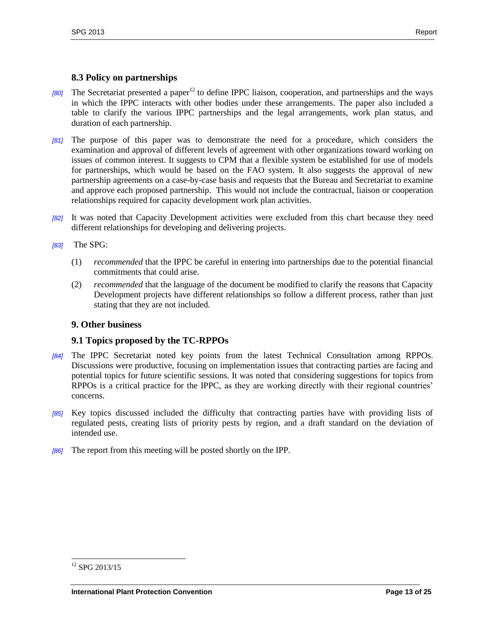#### **8.3 Policy on partnerships**

- *[80]* The Secretariat presented a paper<sup>12</sup> to define IPPC liaison, cooperation, and partnerships and the ways in which the IPPC interacts with other bodies under these arrangements. The paper also included a table to clarify the various IPPC partnerships and the legal arrangements, work plan status, and duration of each partnership.
- *[81]* The purpose of this paper was to demonstrate the need for a procedure, which considers the examination and approval of different levels of agreement with other organizations toward working on issues of common interest. It suggests to CPM that a flexible system be established for use of models for partnerships, which would be based on the FAO system. It also suggests the approval of new partnership agreements on a case-by-case basis and requests that the Bureau and Secretariat to examine and approve each proposed partnership. This would not include the contractual, liaison or cooperation relationships required for capacity development work plan activities.
- *[82]* It was noted that Capacity Development activities were excluded from this chart because they need different relationships for developing and delivering projects.
- *[83]* The SPG:
	- (1) *recommended* that the IPPC be careful in entering into partnerships due to the potential financial commitments that could arise.
	- (2) *recommended* that the language of the document be modified to clarify the reasons that Capacity Development projects have different relationships so follow a different process, rather than just stating that they are not included.

#### <span id="page-12-0"></span>**9. Other business**

#### **9.1 Topics proposed by the TC-RPPOs**

- *[84]* The IPPC Secretariat noted key points from the latest Technical Consultation among RPPOs. Discussions were productive, focusing on implementation issues that contracting parties are facing and potential topics for future scientific sessions. It was noted that considering suggestions for topics from RPPOs is a critical practice for the IPPC, as they are working directly with their regional countries' concerns.
- *[85]* Key topics discussed included the difficulty that contracting parties have with providing lists of regulated pests, creating lists of priority pests by region, and a draft standard on the deviation of intended use.
- *[86]* The report from this meeting will be posted shortly on the IPP.

 $\overline{a}$  $12$  SPG 2013/15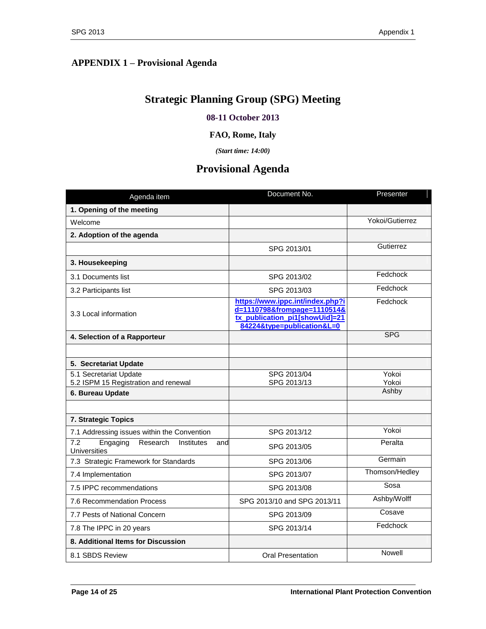# <span id="page-13-0"></span>**APPENDIX 1 – Provisional Agenda**

# **Strategic Planning Group (SPG) Meeting**

## **08-11 October 2013**

#### **FAO, Rome, Italy**

*(Start time: 14:00)*

# **Provisional Agenda**

| Agenda item                                                             | Document No.                                                                                                                    | Presenter       |
|-------------------------------------------------------------------------|---------------------------------------------------------------------------------------------------------------------------------|-----------------|
| 1. Opening of the meeting                                               |                                                                                                                                 |                 |
| Welcome                                                                 |                                                                                                                                 | Yokoi/Gutierrez |
| 2. Adoption of the agenda                                               |                                                                                                                                 |                 |
|                                                                         | SPG 2013/01                                                                                                                     | Gutierrez       |
| 3. Housekeeping                                                         |                                                                                                                                 |                 |
| 3.1 Documents list                                                      | SPG 2013/02                                                                                                                     | Fedchock        |
| 3.2 Participants list                                                   | SPG 2013/03                                                                                                                     | Fedchock        |
| 3.3 Local information                                                   | https://www.ippc.int/index.php?i<br>d=1110798&frompage=1110514&<br>tx publication pi1[showUid]=21<br>84224&type=publication&L=0 | Fedchock        |
| 4. Selection of a Rapporteur                                            |                                                                                                                                 | <b>SPG</b>      |
|                                                                         |                                                                                                                                 |                 |
| 5. Secretariat Update                                                   |                                                                                                                                 |                 |
| 5.1 Secretariat Update<br>5.2 ISPM 15 Registration and renewal          | SPG 2013/04<br>SPG 2013/13                                                                                                      | Yokoi<br>Yokoi  |
| 6. Bureau Update                                                        |                                                                                                                                 | Ashby           |
|                                                                         |                                                                                                                                 |                 |
| 7. Strategic Topics                                                     |                                                                                                                                 |                 |
| 7.1 Addressing issues within the Convention                             | SPG 2013/12                                                                                                                     | Yokoi           |
| Research<br>7.2<br>Engaging<br>Institutes<br>and<br><b>Universities</b> | SPG 2013/05                                                                                                                     | Peralta         |
| 7.3 Strategic Framework for Standards                                   | SPG 2013/06                                                                                                                     | Germain         |
| 7.4 Implementation                                                      | SPG 2013/07                                                                                                                     | Thomson/Hedley  |
| 7.5 IPPC recommendations                                                | SPG 2013/08                                                                                                                     | Sosa            |
| 7.6 Recommendation Process                                              | SPG 2013/10 and SPG 2013/11                                                                                                     | Ashby/Wolff     |
| 7.7 Pests of National Concern                                           | SPG 2013/09                                                                                                                     | Cosave          |
| 7.8 The IPPC in 20 years                                                | SPG 2013/14                                                                                                                     | Fedchock        |
| 8. Additional Items for Discussion                                      |                                                                                                                                 |                 |
| 8.1 SBDS Review                                                         | <b>Oral Presentation</b>                                                                                                        | Nowell          |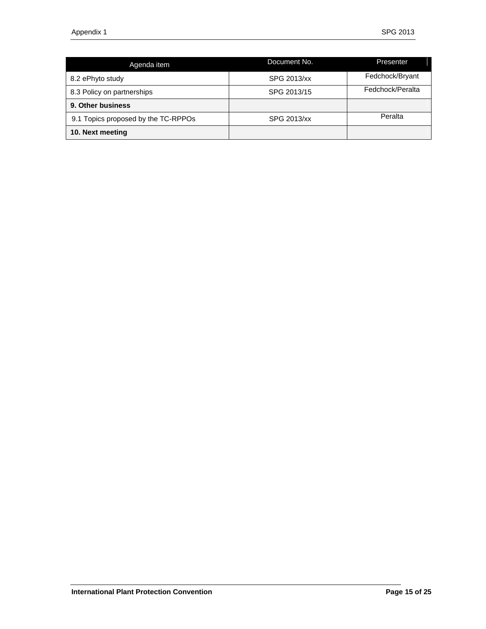| Agenda item                         | Document No. | Presenter        |
|-------------------------------------|--------------|------------------|
| 8.2 ePhyto study                    | SPG 2013/xx  | Fedchock/Bryant  |
| 8.3 Policy on partnerships          | SPG 2013/15  | Fedchock/Peralta |
| 9. Other business                   |              |                  |
| 9.1 Topics proposed by the TC-RPPOs | SPG 2013/xx  | Peralta          |
| 10. Next meeting                    |              |                  |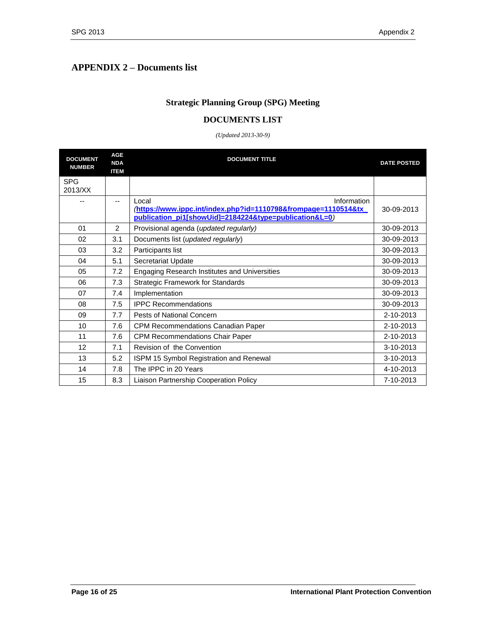# <span id="page-15-0"></span>**APPENDIX 2 – Documents list**

# **Strategic Planning Group (SPG) Meeting**

#### **DOCUMENTS LIST**

#### *(Updated 2013-30-9)*

| <b>DOCUMENT</b><br><b>NUMBER</b> | <b>AGE</b><br><b>NDA</b><br><b>ITEM</b> | <b>DOCUMENT TITLE</b>                                                                                                                           | <b>DATE POSTED</b> |
|----------------------------------|-----------------------------------------|-------------------------------------------------------------------------------------------------------------------------------------------------|--------------------|
| <b>SPG</b><br>2013/XX            |                                         |                                                                                                                                                 |                    |
|                                  | --                                      | Information<br>Local<br>https://www.ippc.int/index.php?id=1110798&frompage=1110514&tx<br>publication_pi1[showUid]=2184224&type=publication&L=0) | 30-09-2013         |
| 01                               | 2                                       | Provisional agenda (updated regularly)                                                                                                          | 30-09-2013         |
| 02                               | 3.1                                     | Documents list (updated regularly)                                                                                                              | 30-09-2013         |
| 03                               | 3.2                                     | Participants list                                                                                                                               | 30-09-2013         |
| 04                               | 5.1                                     | Secretariat Update                                                                                                                              | 30-09-2013         |
| 05                               | 7.2                                     | Engaging Research Institutes and Universities                                                                                                   | 30-09-2013         |
| 06                               | 7.3                                     | <b>Strategic Framework for Standards</b>                                                                                                        | 30-09-2013         |
| 07                               | 7.4                                     | Implementation                                                                                                                                  | 30-09-2013         |
| 08                               | 7.5                                     | <b>IPPC Recommendations</b>                                                                                                                     | 30-09-2013         |
| 09                               | 7.7                                     | Pests of National Concern                                                                                                                       | 2-10-2013          |
| 10                               | 7.6                                     | CPM Recommendations Canadian Paper                                                                                                              | 2-10-2013          |
| 11                               | 7.6                                     | <b>CPM Recommendations Chair Paper</b>                                                                                                          | 2-10-2013          |
| 12                               | 7.1                                     | Revision of the Convention                                                                                                                      | 3-10-2013          |
| 13                               | 5.2                                     | ISPM 15 Symbol Registration and Renewal                                                                                                         | 3-10-2013          |
| 14                               | 7.8                                     | The IPPC in 20 Years                                                                                                                            | 4-10-2013          |
| 15                               | 8.3                                     | Liaison Partnership Cooperation Policy                                                                                                          | 7-10-2013          |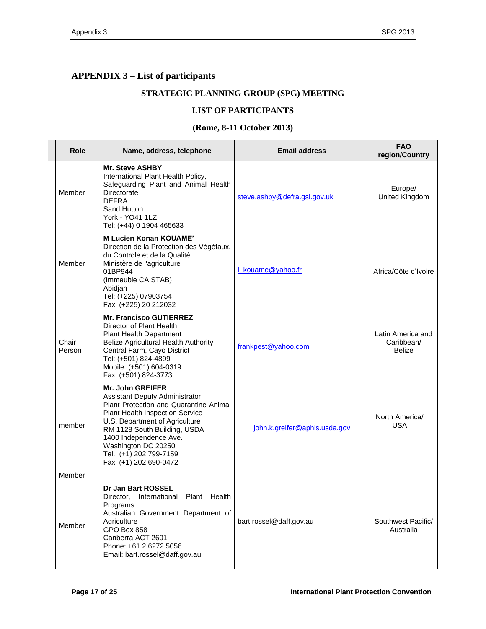# <span id="page-16-0"></span>**APPENDIX 3 – List of participants**

# **STRATEGIC PLANNING GROUP (SPG) MEETING**

#### **LIST OF PARTICIPANTS**

#### **(Rome, 8-11 October 2013)**

| <b>Role</b>     | Name, address, telephone                                                                                                                                                                                                                                                                                       | <b>Email address</b>          | <b>FAO</b><br>region/Country                     |
|-----------------|----------------------------------------------------------------------------------------------------------------------------------------------------------------------------------------------------------------------------------------------------------------------------------------------------------------|-------------------------------|--------------------------------------------------|
| Member          | <b>Mr. Steve ASHBY</b><br>International Plant Health Policy,<br>Safeguarding Plant and Animal Health<br>Directorate<br><b>DEFRA</b><br>Sand Hutton<br>York - YO41 1LZ<br>Tel: (+44) 0 1904 465633                                                                                                              | steve.ashby@defra.gsi.gov.uk  | Europe/<br>United Kingdom                        |
| Member          | <b>M Lucien Konan KOUAME'</b><br>Direction de la Protection des Végétaux,<br>du Controle et de la Qualité<br>Ministère de l'agriculture<br>01BP944<br>(Immeuble CAISTAB)<br>Abidjan<br>Tel: (+225) 07903754<br>Fax: (+225) 20 212032                                                                           | L kouame@yahoo.fr             | Africa/Côte d'Ivoire                             |
| Chair<br>Person | <b>Mr. Francisco GUTIERREZ</b><br>Director of Plant Health<br><b>Plant Health Department</b><br>Belize Agricultural Health Authority<br>Central Farm, Cayo District<br>Tel: (+501) 824-4899<br>Mobile: (+501) 604-0319<br>Fax: (+501) 824-3773                                                                 | frankpest@yahoo.com           | Latin America and<br>Caribbean/<br><b>Belize</b> |
| member          | <b>Mr. John GREIFER</b><br>Assistant Deputy Administrator<br>Plant Protection and Quarantine Animal<br>Plant Health Inspection Service<br>U.S. Department of Agriculture<br>RM 1128 South Building, USDA<br>1400 Independence Ave.<br>Washington DC 20250<br>Tel.: (+1) 202 799-7159<br>Fax: (+1) 202 690-0472 | john.k.greifer@aphis.usda.gov | North America/<br><b>USA</b>                     |
| Member          |                                                                                                                                                                                                                                                                                                                |                               |                                                  |
| Member          | Dr Jan Bart ROSSEL<br>Director, International Plant Health<br>Programs<br>Australian Government Department of<br>Agriculture<br>GPO Box 858<br>Canberra ACT 2601<br>Phone: +61 2 6272 5056<br>Email: bart.rossel@daff.gov.au                                                                                   | bart.rossel@daff.gov.au       | Southwest Pacific/<br>Australia                  |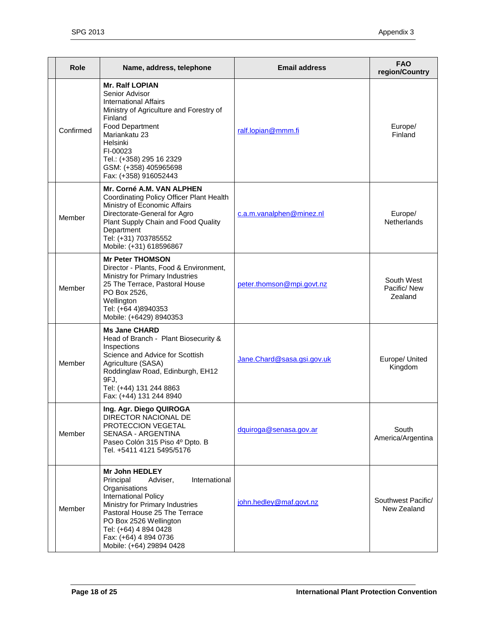| Role      | Name, address, telephone                                                                                                                                                                                                                                                             | <b>Email address</b>       | <b>FAO</b><br>region/Country         |
|-----------|--------------------------------------------------------------------------------------------------------------------------------------------------------------------------------------------------------------------------------------------------------------------------------------|----------------------------|--------------------------------------|
| Confirmed | <b>Mr. Ralf LOPIAN</b><br>Senior Advisor<br><b>International Affairs</b><br>Ministry of Agriculture and Forestry of<br>Finland<br>Food Department<br>Mariankatu 23<br>Helsinki<br>FI-00023<br>Tel.: (+358) 295 16 2329<br>GSM: (+358) 405965698<br>Fax: (+358) 916052443             | ralf.lopian@mmm.fi         | Europe/<br>Finland                   |
| Member    | Mr. Corné A.M. VAN ALPHEN<br>Coordinating Policy Officer Plant Health<br>Ministry of Economic Affairs<br>Directorate-General for Agro<br>Plant Supply Chain and Food Quality<br>Department<br>Tel: (+31) 703785552<br>Mobile: (+31) 618596867                                        | c.a.m.vanalphen@minez.nl   | Europe/<br><b>Netherlands</b>        |
| Member    | <b>Mr Peter THOMSON</b><br>Director - Plants, Food & Environment,<br>Ministry for Primary Industries<br>25 The Terrace, Pastoral House<br>PO Box 2526,<br>Wellington<br>Tel: (+64 4)8940353<br>Mobile: (+6429) 8940353                                                               | peter.thomson@mpi.govt.nz  | South West<br>Pacific/New<br>Zealand |
| Member    | <b>Ms Jane CHARD</b><br>Head of Branch - Plant Biosecurity &<br>Inspections<br>Science and Advice for Scottish<br>Agriculture (SASA)<br>Roddinglaw Road, Edinburgh, EH12<br>9FJ,<br>Tel: (+44) 131 244 8863<br>Fax: (+44) 131 244 8940                                               | Jane.Chard@sasa.gsi.gov.uk | Europe/ United<br>Kingdom            |
| Member    | Ing. Agr. Diego QUIROGA<br>DIRECTOR NACIONAL DE<br>PROTECCION VEGETAL<br>SENASA - ARGENTINA<br>Paseo Colón 315 Piso 4º Dpto. B<br>Tel. +5411 4121 5495/5176                                                                                                                          | dquiroga@senasa.gov.ar     | South<br>America/Argentina           |
| Member    | <b>Mr John HEDLEY</b><br>Principal<br>Adviser,<br>International<br>Organisations<br>International Policy<br>Ministry for Primary Industries<br>Pastoral House 25 The Terrace<br>PO Box 2526 Wellington<br>Tel: (+64) 4 894 0428<br>Fax: (+64) 4 894 0736<br>Mobile: (+64) 29894 0428 | john.hedley@maf.govt.nz    | Southwest Pacific/<br>New Zealand    |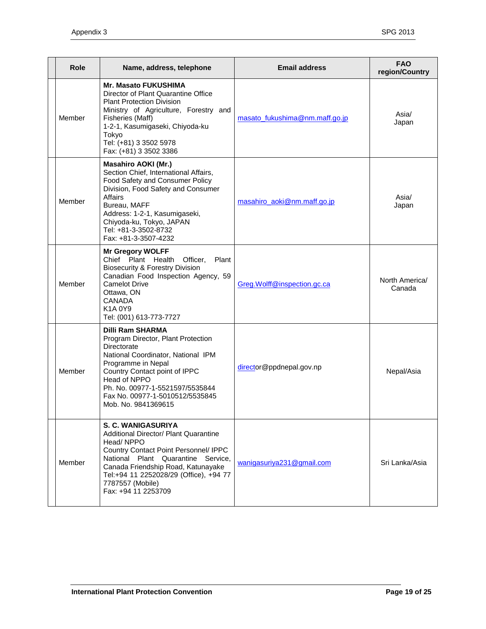| Role   | Name, address, telephone                                                                                                                                                                                                                                                                  | <b>Email address</b>           | <b>FAO</b><br>region/Country |
|--------|-------------------------------------------------------------------------------------------------------------------------------------------------------------------------------------------------------------------------------------------------------------------------------------------|--------------------------------|------------------------------|
| Member | <b>Mr. Masato FUKUSHIMA</b><br>Director of Plant Quarantine Office<br><b>Plant Protection Division</b><br>Ministry of Agriculture, Forestry and<br>Fisheries (Maff)<br>1-2-1, Kasumigaseki, Chiyoda-ku<br>Tokyo<br>Tel: (+81) 3 3502 5978<br>Fax: (+81) 3 3502 3386                       | masato_fukushima@nm.maff.go.jp | Asia/<br>Japan               |
| Member | <b>Masahiro AOKI (Mr.)</b><br>Section Chief, International Affairs,<br>Food Safety and Consumer Policy<br>Division, Food Safety and Consumer<br>Affairs<br>Bureau, MAFF<br>Address: 1-2-1, Kasumigaseki,<br>Chiyoda-ku, Tokyo, JAPAN<br>Tel: +81-3-3502-8732<br>Fax: +81-3-3507-4232      | masahiro_aoki@nm.maff.go.jp    | Asia/<br>Japan               |
| Member | <b>Mr Gregory WOLFF</b><br>Chief Plant Health<br>Officer,<br>Plant<br><b>Biosecurity &amp; Forestry Division</b><br>Canadian Food Inspection Agency, 59<br><b>Camelot Drive</b><br>Ottawa, ON<br><b>CANADA</b><br>K1A0Y9<br>Tel: (001) 613-773-7727                                       | Greg.Wolff@inspection.gc.ca    | North America/<br>Canada     |
| Member | <b>Dilli Ram SHARMA</b><br>Program Director, Plant Protection<br>Directorate<br>National Coordinator, National IPM<br>Programme in Nepal<br>Country Contact point of IPPC<br>Head of NPPO<br>Ph. No. 00977-1-5521597/5535844<br>Fax No. 00977-1-5010512/5535845<br>Mob. No. 9841369615    | director@ppdnepal.gov.np       | Nepal/Asia                   |
| Member | S. C. WANIGASURIYA<br><b>Additional Director/ Plant Quarantine</b><br>Head/NPPO<br>Country Contact Point Personnel/ IPPC<br>National Plant Quarantine Service,<br>Canada Friendship Road, Katunayake<br>Tel:+94 11 2252028/29 (Office), +94 77<br>7787557 (Mobile)<br>Fax: +94 11 2253709 | wanigasuriya231@gmail.com      | Sri Lanka/Asia               |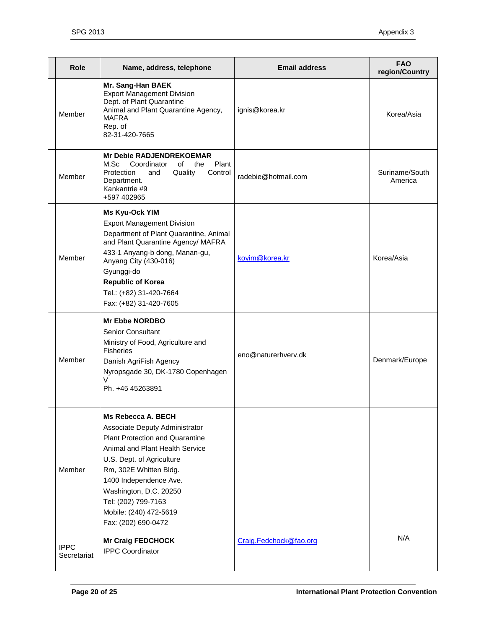| Role                       | Name, address, telephone                                                                                                                                                                                                                                                                                             | <b>Email address</b>   | <b>FAO</b><br>region/Country |
|----------------------------|----------------------------------------------------------------------------------------------------------------------------------------------------------------------------------------------------------------------------------------------------------------------------------------------------------------------|------------------------|------------------------------|
| Member                     | Mr. Sang-Han BAEK<br><b>Export Management Division</b><br>Dept. of Plant Quarantine<br>Animal and Plant Quarantine Agency,<br><b>MAFRA</b><br>Rep. of<br>82-31-420-7665                                                                                                                                              | ignis@korea.kr         | Korea/Asia                   |
| Member                     | <b>Mr Debie RADJENDREKOEMAR</b><br>M.Sc<br>Coordinator<br>Plant<br>of<br>the<br>Protection<br>Quality<br>and<br>Control<br>Department.<br>Kankantrie #9<br>+597 402965                                                                                                                                               | radebie@hotmail.com    | Suriname/South<br>America    |
| Member                     | Ms Kyu-Ock YIM<br><b>Export Management Division</b><br>Department of Plant Quarantine, Animal<br>and Plant Quarantine Agency/ MAFRA<br>433-1 Anyang-b dong, Manan-gu,<br>Anyang City (430-016)<br>Gyunggi-do<br><b>Republic of Korea</b><br>Tel.: (+82) 31-420-7664<br>Fax: (+82) 31-420-7605                        | koyim@korea.kr         | Korea/Asia                   |
| Member                     | <b>Mr Ebbe NORDBO</b><br><b>Senior Consultant</b><br>Ministry of Food, Agriculture and<br><b>Fisheries</b><br>Danish AgriFish Agency<br>Nyropsgade 30, DK-1780 Copenhagen<br>V<br>Ph. +45 45263891                                                                                                                   | eno@naturerhverv.dk    | Denmark/Europe               |
| Member                     | Ms Rebecca A. BECH<br>Associate Deputy Administrator<br><b>Plant Protection and Quarantine</b><br>Animal and Plant Health Service<br>U.S. Dept. of Agriculture<br>Rm, 302E Whitten Bldg.<br>1400 Independence Ave.<br>Washington, D.C. 20250<br>Tel: (202) 799-7163<br>Mobile: (240) 472-5619<br>Fax: (202) 690-0472 |                        |                              |
| <b>IPPC</b><br>Secretariat | <b>Mr Craig FEDCHOCK</b><br><b>IPPC Coordinator</b>                                                                                                                                                                                                                                                                  | Craig.Fedchock@fao.org | N/A                          |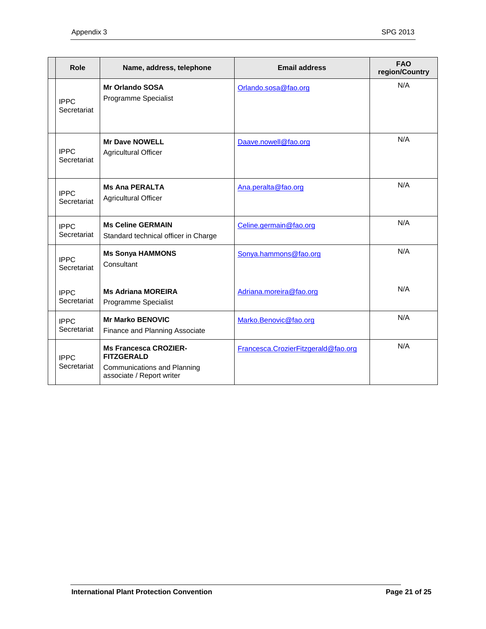| Role                       | Name, address, telephone                                                                                             | <b>Email address</b>                | <b>FAO</b><br>region/Country |
|----------------------------|----------------------------------------------------------------------------------------------------------------------|-------------------------------------|------------------------------|
| <b>IPPC</b><br>Secretariat | <b>Mr Orlando SOSA</b><br>Programme Specialist                                                                       | Orlando.sosa@fao.org                | N/A                          |
| <b>IPPC</b><br>Secretariat | <b>Mr Dave NOWELL</b><br><b>Agricultural Officer</b>                                                                 | Daave.nowell@fao.org                | N/A                          |
| <b>IPPC</b><br>Secretariat | <b>Ms Ana PERALTA</b><br><b>Agricultural Officer</b>                                                                 | Ana.peralta@fao.org                 | N/A                          |
| <b>IPPC</b><br>Secretariat | <b>Ms Celine GERMAIN</b><br>Standard technical officer in Charge                                                     | Celine.germain@fao.org              | N/A                          |
| <b>IPPC</b><br>Secretariat | <b>Ms Sonya HAMMONS</b><br>Consultant                                                                                | Sonya.hammons@fao.org               | N/A                          |
| <b>IPPC</b><br>Secretariat | <b>Ms Adriana MOREIRA</b><br>Programme Specialist                                                                    | Adriana.moreira@fao.org             | N/A                          |
| <b>IPPC</b><br>Secretariat | <b>Mr Marko BENOVIC</b><br>Finance and Planning Associate                                                            | Marko.Benovic@fao.org               | N/A                          |
| <b>IPPC</b><br>Secretariat | <b>Ms Francesca CROZIER-</b><br><b>FITZGERALD</b><br><b>Communications and Planning</b><br>associate / Report writer | Francesca.CrozierFitzgerald@fao.org | N/A                          |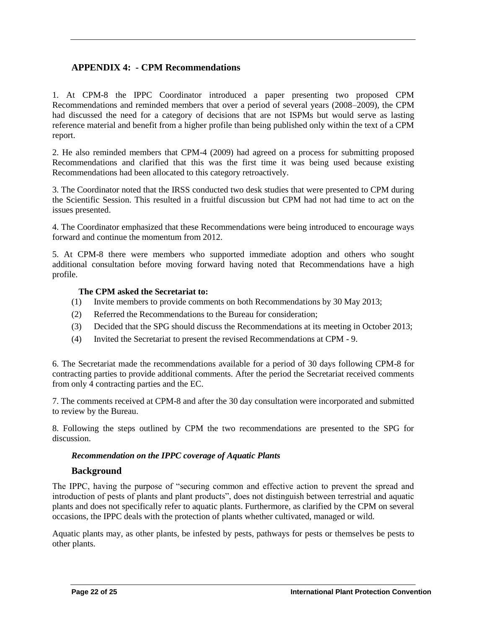# <span id="page-21-0"></span>**APPENDIX 4: - CPM Recommendations**

1. At CPM-8 the IPPC Coordinator introduced a paper presenting two proposed CPM Recommendations and reminded members that over a period of several years (2008–2009), the CPM had discussed the need for a category of decisions that are not ISPMs but would serve as lasting reference material and benefit from a higher profile than being published only within the text of a CPM report.

2. He also reminded members that CPM-4 (2009) had agreed on a process for submitting proposed Recommendations and clarified that this was the first time it was being used because existing Recommendations had been allocated to this category retroactively.

3. The Coordinator noted that the IRSS conducted two desk studies that were presented to CPM during the Scientific Session. This resulted in a fruitful discussion but CPM had not had time to act on the issues presented.

4. The Coordinator emphasized that these Recommendations were being introduced to encourage ways forward and continue the momentum from 2012.

5. At CPM-8 there were members who supported immediate adoption and others who sought additional consultation before moving forward having noted that Recommendations have a high profile.

#### **The CPM asked the Secretariat to:**

- (1) Invite members to provide comments on both Recommendations by 30 May 2013;
- (2) Referred the Recommendations to the Bureau for consideration;
- (3) Decided that the SPG should discuss the Recommendations at its meeting in October 2013;
- (4) Invited the Secretariat to present the revised Recommendations at CPM 9.

6. The Secretariat made the recommendations available for a period of 30 days following CPM-8 for contracting parties to provide additional comments. After the period the Secretariat received comments from only 4 contracting parties and the EC.

7. The comments received at CPM-8 and after the 30 day consultation were incorporated and submitted to review by the Bureau.

8. Following the steps outlined by CPM the two recommendations are presented to the SPG for discussion.

#### *Recommendation on the IPPC coverage of Aquatic Plants*

#### **Background**

The IPPC, having the purpose of "securing common and effective action to prevent the spread and introduction of pests of plants and plant products", does not distinguish between terrestrial and aquatic plants and does not specifically refer to aquatic plants. Furthermore, as clarified by the CPM on several occasions, the IPPC deals with the protection of plants whether cultivated, managed or wild.

Aquatic plants may, as other plants, be infested by pests, pathways for pests or themselves be pests to other plants.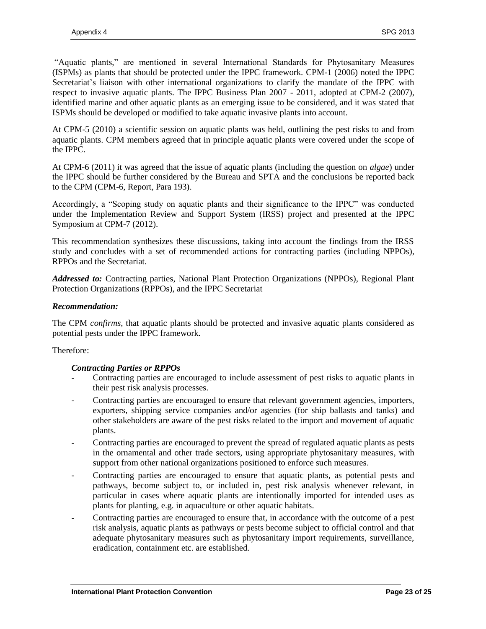"Aquatic plants," are mentioned in several International Standards for Phytosanitary Measures (ISPMs) as plants that should be protected under the IPPC framework. CPM-1 (2006) noted the IPPC Secretariat's liaison with other international organizations to clarify the mandate of the IPPC with respect to invasive aquatic plants. The IPPC Business Plan 2007 - 2011, adopted at CPM-2 (2007), identified marine and other aquatic plants as an emerging issue to be considered, and it was stated that ISPMs should be developed or modified to take aquatic invasive plants into account.

At CPM-5 (2010) a scientific session on aquatic plants was held, outlining the pest risks to and from aquatic plants. CPM members agreed that in principle aquatic plants were covered under the scope of the IPPC.

At CPM-6 (2011) it was agreed that the issue of aquatic plants (including the question on *algae*) under the IPPC should be further considered by the Bureau and SPTA and the conclusions be reported back to the CPM (CPM-6, Report, Para 193).

Accordingly, a "Scoping study on aquatic plants and their significance to the IPPC" was conducted under the Implementation Review and Support System (IRSS) project and presented at the IPPC Symposium at CPM-7 (2012).

This recommendation synthesizes these discussions, taking into account the findings from the IRSS study and concludes with a set of recommended actions for contracting parties (including NPPOs), RPPOs and the Secretariat.

*Addressed to:* Contracting parties, National Plant Protection Organizations (NPPOs), Regional Plant Protection Organizations (RPPOs), and the IPPC Secretariat

#### *Recommendation:*

The CPM *confirms*, that aquatic plants should be protected and invasive aquatic plants considered as potential pests under the IPPC framework.

#### Therefore:

#### *Contracting Parties or RPPOs*

- Contracting parties are encouraged to include assessment of pest risks to aquatic plants in their pest risk analysis processes.
- Contracting parties are encouraged to ensure that relevant government agencies, importers, exporters, shipping service companies and/or agencies (for ship ballasts and tanks) and other stakeholders are aware of the pest risks related to the import and movement of aquatic plants.
- Contracting parties are encouraged to prevent the spread of regulated aquatic plants as pests in the ornamental and other trade sectors, using appropriate phytosanitary measures, with support from other national organizations positioned to enforce such measures.
- Contracting parties are encouraged to ensure that aquatic plants, as potential pests and pathways, become subject to, or included in, pest risk analysis whenever relevant, in particular in cases where aquatic plants are intentionally imported for intended uses as plants for planting, e.g. in aquaculture or other aquatic habitats.
- Contracting parties are encouraged to ensure that, in accordance with the outcome of a pest risk analysis, aquatic plants as pathways or pests become subject to official control and that adequate phytosanitary measures such as phytosanitary import requirements, surveillance, eradication, containment etc. are established.